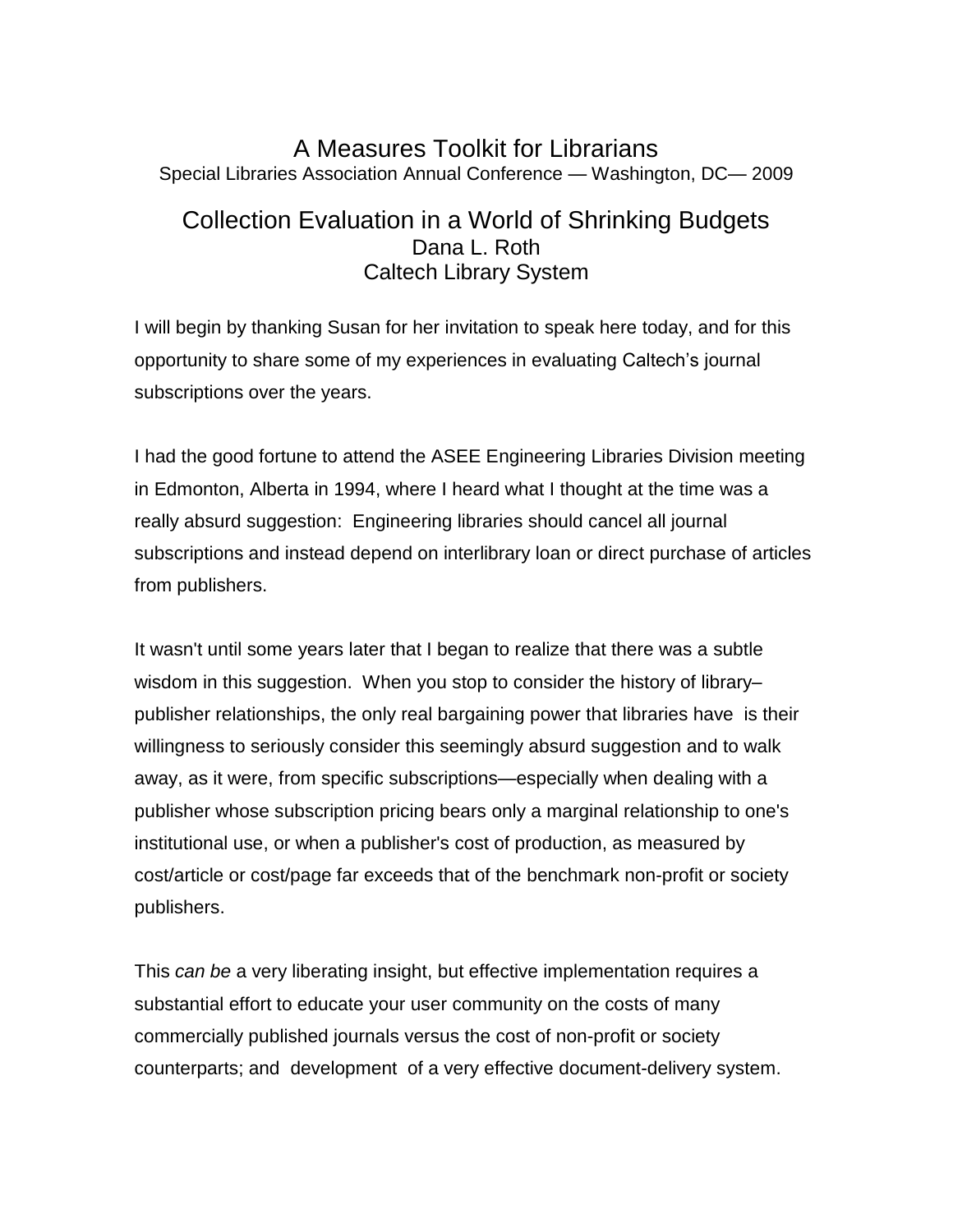## A Measures Toolkit for Librarians Special Libraries Association Annual Conference — Washington, DC— 2009

# Collection Evaluation in a World of Shrinking Budgets Dana L. Roth Caltech Library System

I will begin by thanking Susan for her invitation to speak here today, and for this opportunity to share some of my experiences in evaluating Caltech's journal subscriptions over the years.

I had the good fortune to attend the ASEE Engineering Libraries Division meeting in Edmonton, Alberta in 1994, where I heard what I thought at the time was a really absurd suggestion: Engineering libraries should cancel all journal subscriptions and instead depend on interlibrary loan or direct purchase of articles from publishers.

It wasn't until some years later that I began to realize that there was a subtle wisdom in this suggestion. When you stop to consider the history of library– publisher relationships, the only real bargaining power that libraries have is their willingness to seriously consider this seemingly absurd suggestion and to walk away, as it were, from specific subscriptions—especially when dealing with a publisher whose subscription pricing bears only a marginal relationship to one's institutional use, or when a publisher's cost of production, as measured by cost/article or cost/page far exceeds that of the benchmark non-profit or society publishers.

This *can be* a very liberating insight, but effective implementation requires a substantial effort to educate your user community on the costs of many commercially published journals versus the cost of non-profit or society counterparts; and development of a very effective document-delivery system.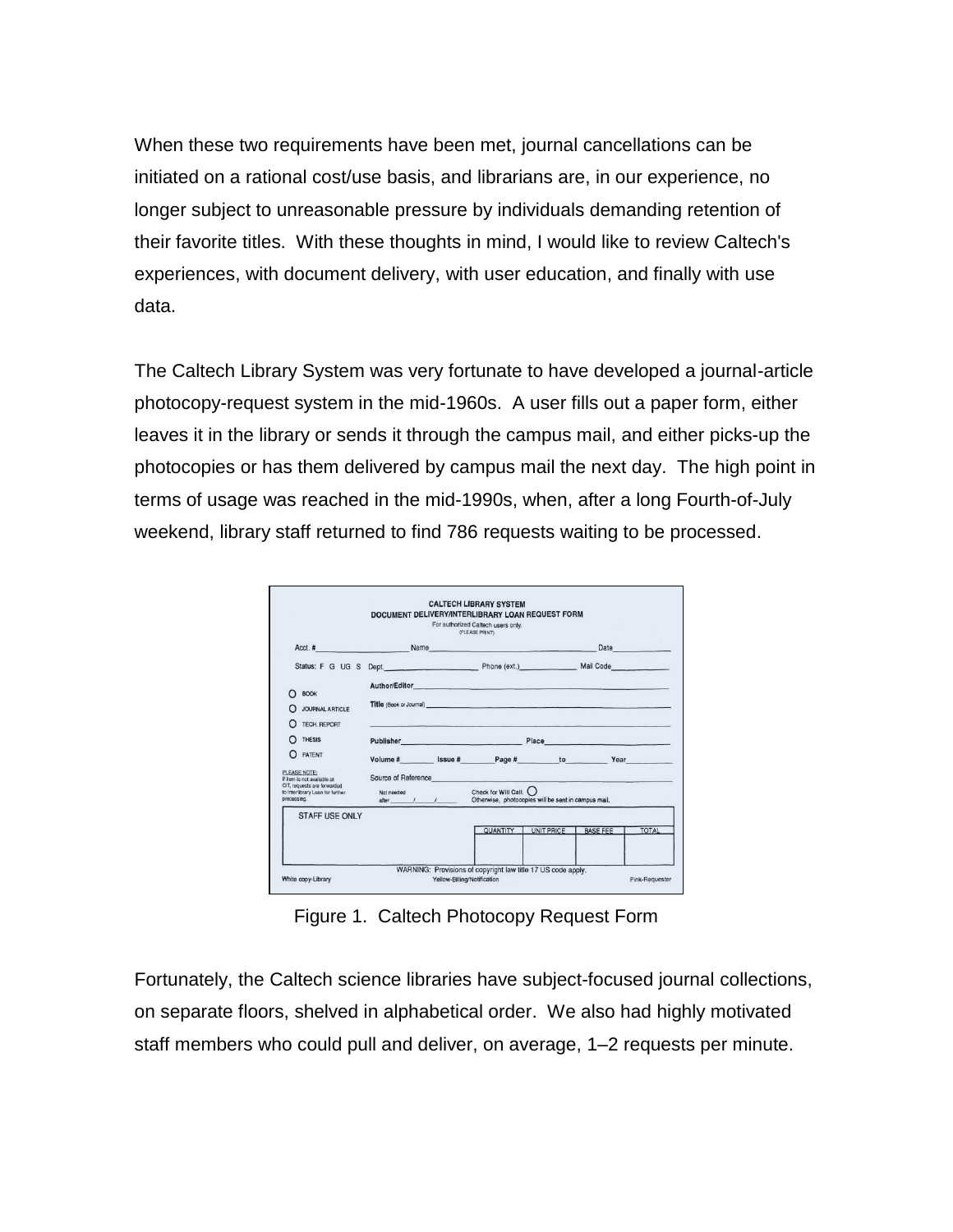When these two requirements have been met, journal cancellations can be initiated on a rational cost/use basis, and librarians are, in our experience, no longer subject to unreasonable pressure by individuals demanding retention of their favorite titles. With these thoughts in mind, I would like to review Caltech's experiences, with document delivery, with user education, and finally with use data.

The Caltech Library System was very fortunate to have developed a journal-article photocopy-request system in the mid-1960s. A user fills out a paper form, either leaves it in the library or sends it through the campus mail, and either picks-up the photocopies or has them delivered by campus mail the next day. The high point in terms of usage was reached in the mid-1990s, when, after a long Fourth-of-July weekend, library staff returned to find 786 requests waiting to be processed.

| Acct.# Name Name                                                               |            |           |                                                                                |            |                                                                                                                                                                                                                                      | Date and the state of the state of the state of the state of the state of the state of the state of the state of the state of the state of the state of the state of the state of the state of the state of the state of the s |
|--------------------------------------------------------------------------------|------------|-----------|--------------------------------------------------------------------------------|------------|--------------------------------------------------------------------------------------------------------------------------------------------------------------------------------------------------------------------------------------|--------------------------------------------------------------------------------------------------------------------------------------------------------------------------------------------------------------------------------|
| Status: F G UG S Dept. Phone (ext.) Mail Code                                  |            |           |                                                                                |            |                                                                                                                                                                                                                                      |                                                                                                                                                                                                                                |
| <b>BOOK</b><br>∩                                                               |            |           |                                                                                |            |                                                                                                                                                                                                                                      |                                                                                                                                                                                                                                |
| <b>JOURNAL ARTICLE</b>                                                         |            |           | Title (Book or Journal)                                                        |            |                                                                                                                                                                                                                                      |                                                                                                                                                                                                                                |
| TECH, REPORT                                                                   |            |           | comparison and the season of the contract of the companies                     |            |                                                                                                                                                                                                                                      |                                                                                                                                                                                                                                |
| <b>THESIS</b>                                                                  |            |           | <b>Publisher Publisher Publisher</b>                                           |            | Place <b>District Contract Contract Contract Contract Contract Contract Contract Contract Contract Contract Contract Contract Contract Contract Contract Contract Contract Contract Contract Contract Contract Contract Contract</b> |                                                                                                                                                                                                                                |
| PATENT<br>$\Omega$                                                             |            |           | Volume # Issue # Page # to Year                                                |            |                                                                                                                                                                                                                                      |                                                                                                                                                                                                                                |
| PLEASE NOTE:<br>If item is not available at                                    |            |           | Source of Reference                                                            |            | VS - 이번 이 사이트 스타일 - 이 시 시 시 시 시 시 시 시                                                                                                                                                                                                |                                                                                                                                                                                                                                |
| CIT, requests are forwarded<br>to Interlibrary Loan for further<br>processing. | Not needed | after / / | Check for Will Call. ()<br>Otherwise, photocopies will be sent in campus mail. |            |                                                                                                                                                                                                                                      |                                                                                                                                                                                                                                |
| STAFF USF ONLY                                                                 |            |           |                                                                                |            |                                                                                                                                                                                                                                      |                                                                                                                                                                                                                                |
|                                                                                |            |           | QUANTITY                                                                       | UNIT PRICE | <b>BASE FEE</b>                                                                                                                                                                                                                      | <b>TOTAL</b>                                                                                                                                                                                                                   |

Figure 1. Caltech Photocopy Request Form

Fortunately, the Caltech science libraries have subject-focused journal collections, on separate floors, shelved in alphabetical order. We also had highly motivated staff members who could pull and deliver, on average, 1–2 requests per minute.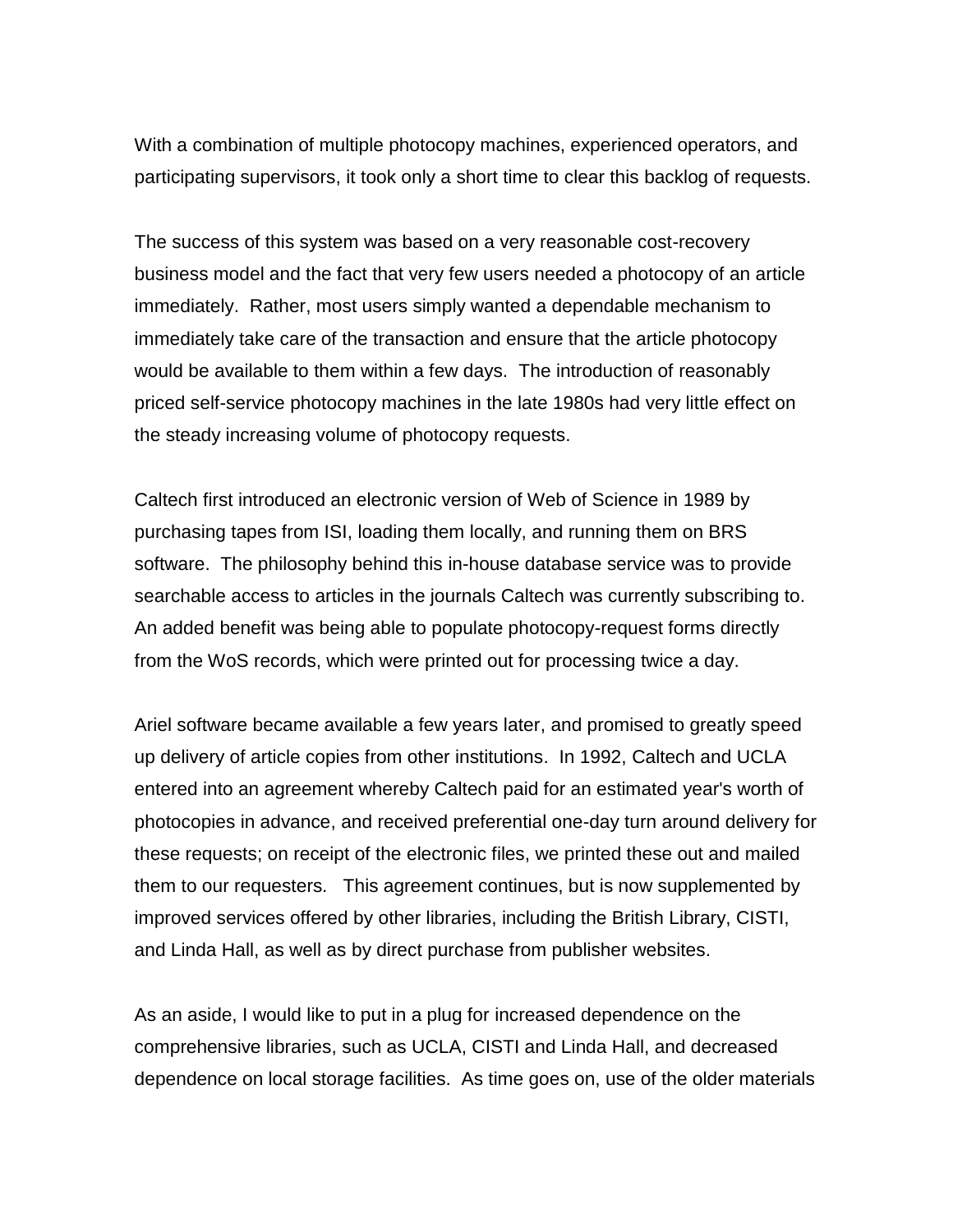With a combination of multiple photocopy machines, experienced operators, and participating supervisors, it took only a short time to clear this backlog of requests.

The success of this system was based on a very reasonable cost-recovery business model and the fact that very few users needed a photocopy of an article immediately. Rather, most users simply wanted a dependable mechanism to immediately take care of the transaction and ensure that the article photocopy would be available to them within a few days. The introduction of reasonably priced self-service photocopy machines in the late 1980s had very little effect on the steady increasing volume of photocopy requests.

Caltech first introduced an electronic version of Web of Science in 1989 by purchasing tapes from ISI, loading them locally, and running them on BRS software. The philosophy behind this in-house database service was to provide searchable access to articles in the journals Caltech was currently subscribing to. An added benefit was being able to populate photocopy-request forms directly from the WoS records, which were printed out for processing twice a day.

Ariel software became available a few years later, and promised to greatly speed up delivery of article copies from other institutions. In 1992, Caltech and UCLA entered into an agreement whereby Caltech paid for an estimated year's worth of photocopies in advance, and received preferential one-day turn around delivery for these requests; on receipt of the electronic files, we printed these out and mailed them to our requesters. This agreement continues, but is now supplemented by improved services offered by other libraries, including the British Library, CISTI, and Linda Hall, as well as by direct purchase from publisher websites.

As an aside, I would like to put in a plug for increased dependence on the comprehensive libraries, such as UCLA, CISTI and Linda Hall, and decreased dependence on local storage facilities. As time goes on, use of the older materials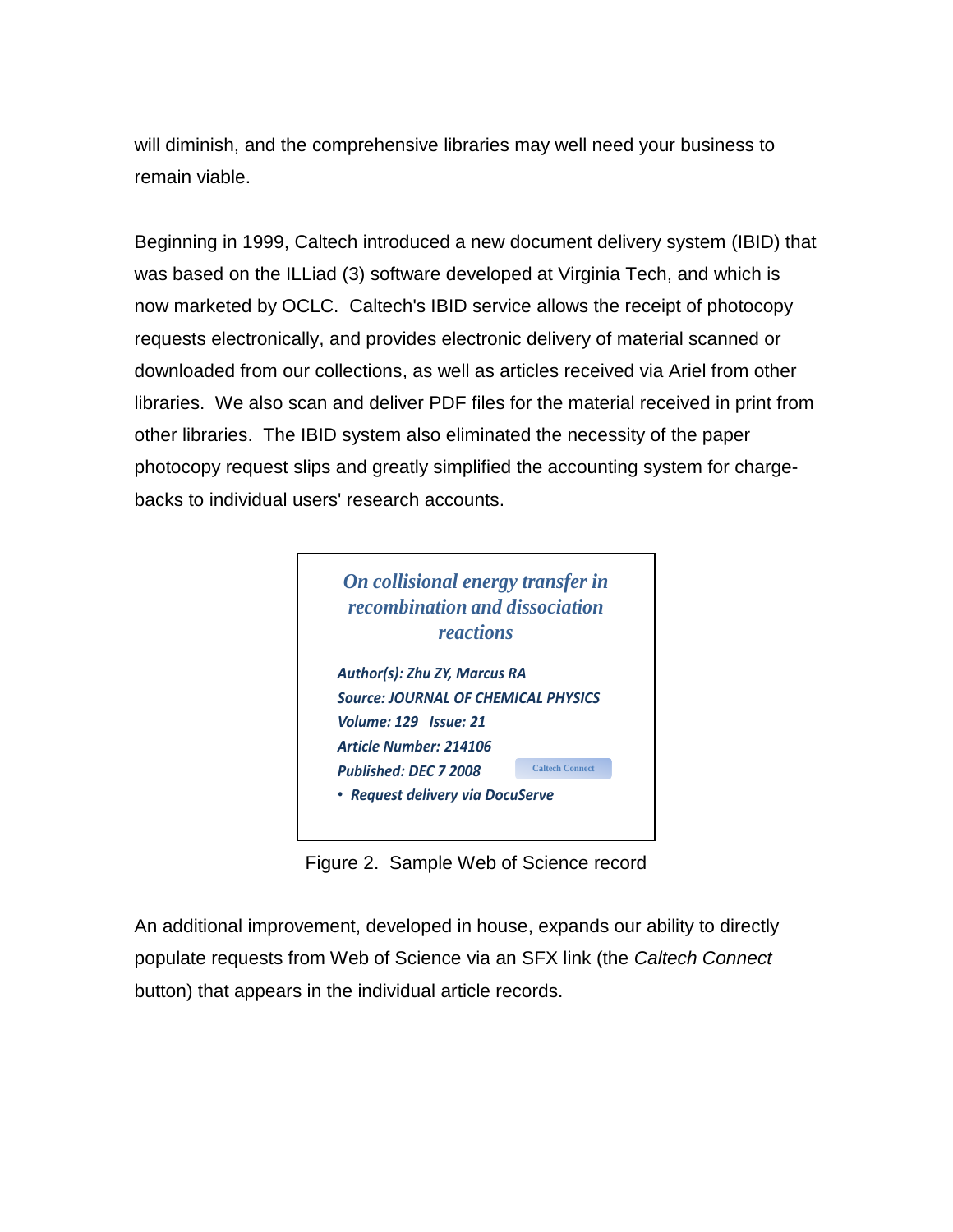will diminish, and the comprehensive libraries may well need your business to remain viable.

Beginning in 1999, Caltech introduced a new document delivery system (IBID) that was based on the ILLiad (3) software developed at Virginia Tech, and which is now marketed by OCLC. Caltech's IBID service allows the receipt of photocopy requests electronically, and provides electronic delivery of material scanned or downloaded from our collections, as well as articles received via Ariel from other libraries. We also scan and deliver PDF files for the material received in print from other libraries. The IBID system also eliminated the necessity of the paper photocopy request slips and greatly simplified the accounting system for chargebacks to individual users' research accounts.



Figure 2. Sample Web of Science record

An additional improvement, developed in house, expands our ability to directly populate requests from Web of Science via an SFX link (the *Caltech Connect* button) that appears in the individual article records.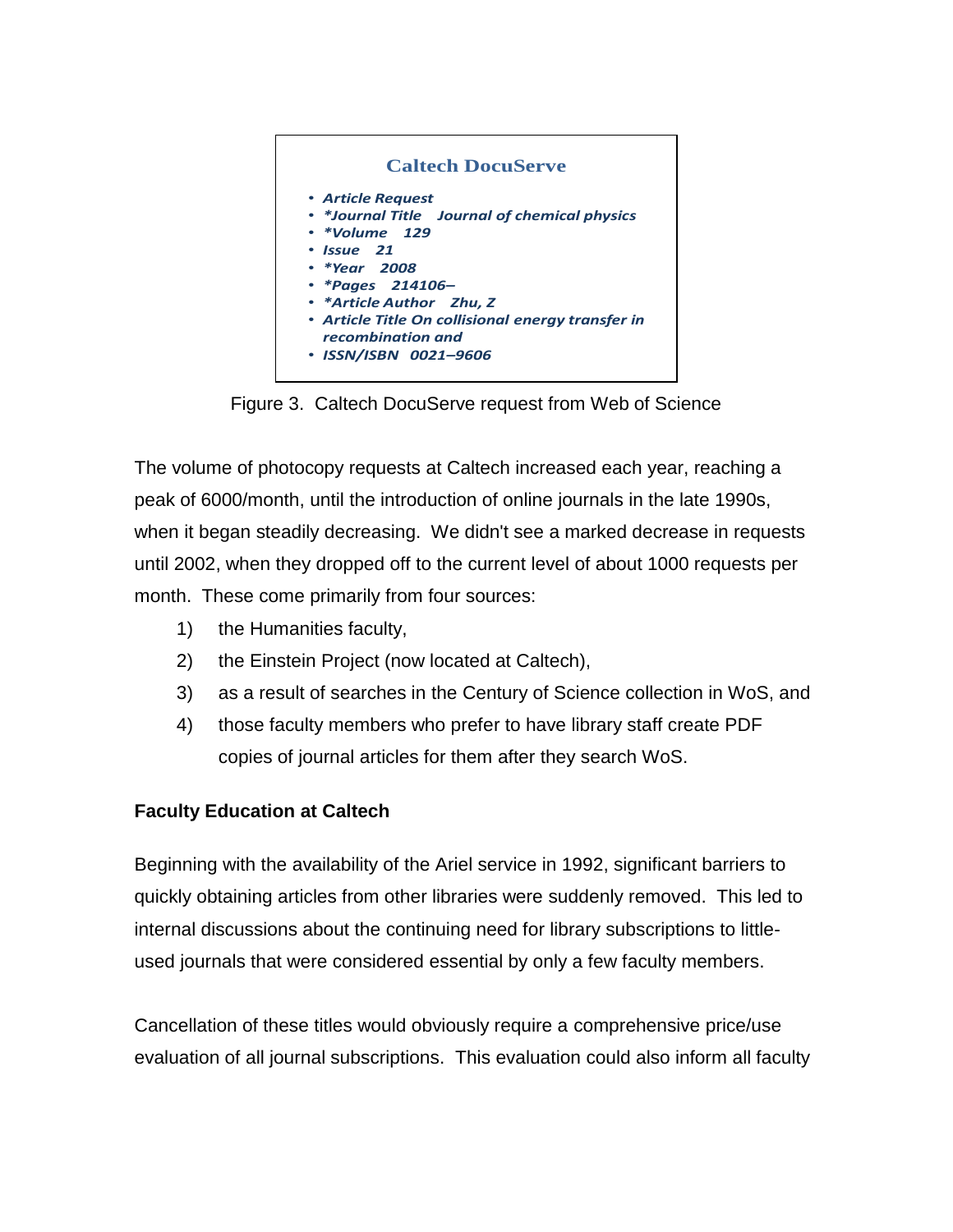

Figure 3. Caltech DocuServe request from Web of Science

The volume of photocopy requests at Caltech increased each year, reaching a peak of 6000/month, until the introduction of online journals in the late 1990s, when it began steadily decreasing. We didn't see a marked decrease in requests until 2002, when they dropped off to the current level of about 1000 requests per month. These come primarily from four sources:

- 1) the Humanities faculty,
- 2) the Einstein Project (now located at Caltech),
- 3) as a result of searches in the Century of Science collection in WoS, and
- 4) those faculty members who prefer to have library staff create PDF copies of journal articles for them after they search WoS.

### **Faculty Education at Caltech**

Beginning with the availability of the Ariel service in 1992, significant barriers to quickly obtaining articles from other libraries were suddenly removed. This led to internal discussions about the continuing need for library subscriptions to littleused journals that were considered essential by only a few faculty members.

Cancellation of these titles would obviously require a comprehensive price/use evaluation of all journal subscriptions. This evaluation could also inform all faculty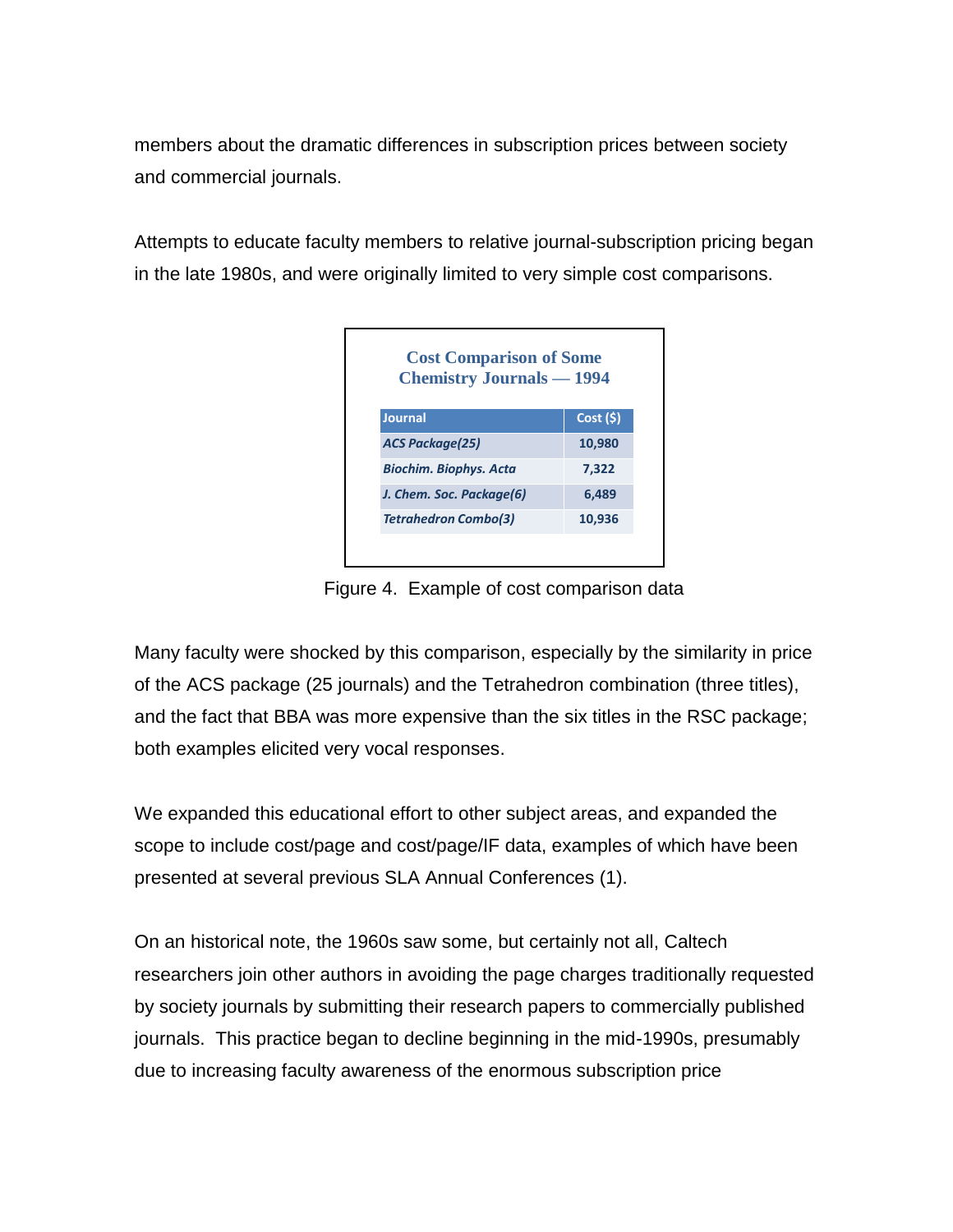members about the dramatic differences in subscription prices between society and commercial journals.

Attempts to educate faculty members to relative journal-subscription pricing began in the late 1980s, and were originally limited to very simple cost comparisons.



Figure 4. Example of cost comparison data

Many faculty were shocked by this comparison, especially by the similarity in price of the ACS package (25 journals) and the Tetrahedron combination (three titles), and the fact that BBA was more expensive than the six titles in the RSC package; both examples elicited very vocal responses.

We expanded this educational effort to other subject areas, and expanded the scope to include cost/page and cost/page/IF data, examples of which have been presented at several previous SLA Annual Conferences (1).

On an historical note, the 1960s saw some, but certainly not all, Caltech researchers join other authors in avoiding the page charges traditionally requested by society journals by submitting their research papers to commercially published journals. This practice began to decline beginning in the mid-1990s, presumably due to increasing faculty awareness of the enormous subscription price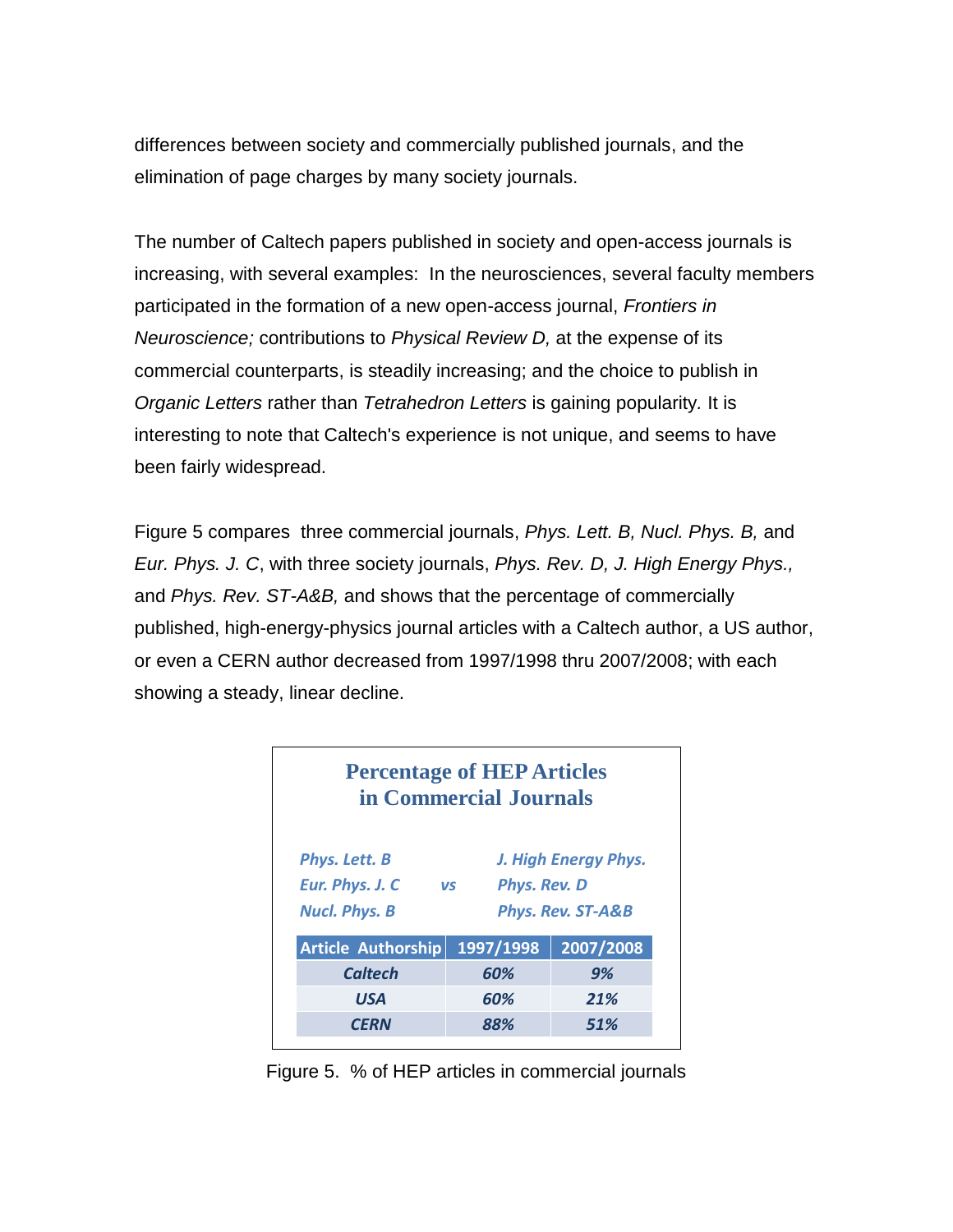differences between society and commercially published journals, and the elimination of page charges by many society journals.

The number of Caltech papers published in society and open-access journals is increasing, with several examples: In the neurosciences, several faculty members participated in the formation of a new open-access journal, *Frontiers in Neuroscience;* contributions to *Physical Review D,* at the expense of its commercial counterparts, is steadily increasing; and the choice to publish in *Organic Letters* rather than *Tetrahedron Letters* is gaining popularity*.* It is interesting to note that Caltech's experience is not unique, and seems to have been fairly widespread.

Figure 5 compares three commercial journals, *Phys. Lett. B, Nucl. Phys. B,* and *Eur. Phys. J. C*, with three society journals, *Phys. Rev. D, J. High Energy Phys.,* and *Phys. Rev. ST-A&B,* and shows that the percentage of commercially published, high-energy-physics journal articles with a Caltech author, a US author, or even a CERN author decreased from 1997/1998 thru 2007/2008; with each showing a steady, linear decline.

|                      | <b>Percentage of HEP Articles</b><br>in Commercial Journals |                      |
|----------------------|-------------------------------------------------------------|----------------------|
| Phys. Lett. B        |                                                             | J. High Energy Phys. |
| Eur. Phys. J. C      | Phys. Rev. D<br><b>VS</b>                                   |                      |
| <b>Nucl. Phys. B</b> |                                                             | Phys. Rev. ST-A&B    |
| Article Authorship   | 1997/1998                                                   | 2007/2008            |
| <b>Caltech</b>       | 60%                                                         | 9%                   |
| <b>USA</b>           | 60%                                                         | 21%                  |
| <b>CFRN</b>          | 88%                                                         | 51%                  |

Figure 5. % of HEP articles in commercial journals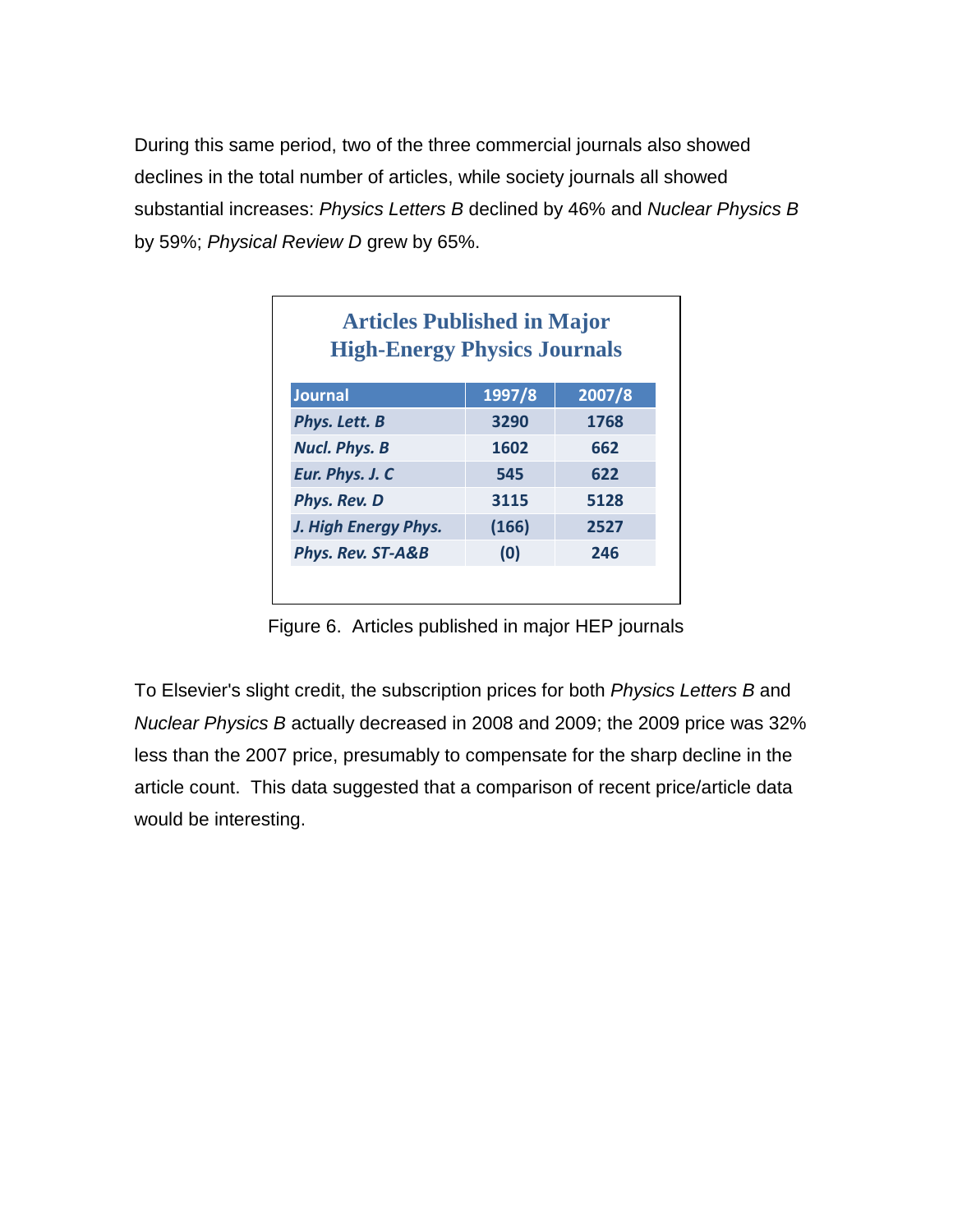During this same period, two of the three commercial journals also showed declines in the total number of articles, while society journals all showed substantial increases: *Physics Letters B* declined by 46% and *Nuclear Physics B*  by 59%; *Physical Review D* grew by 65%.

| <b>Articles Published in Major</b><br><b>High-Energy Physics Journals</b> |        |        |  |  |
|---------------------------------------------------------------------------|--------|--------|--|--|
| <b>Journal</b>                                                            | 1997/8 | 2007/8 |  |  |
| Phys. Lett. B                                                             | 3290   | 1768   |  |  |
| <b>Nucl. Phys. B</b>                                                      | 1602   | 662    |  |  |
| Eur. Phys. J. C                                                           | 545    | 622    |  |  |
| Phys. Rev. D                                                              | 3115   | 5128   |  |  |
| J. High Energy Phys.                                                      | (166)  | 2527   |  |  |
| Phys. Rev. ST-A&B                                                         | (0)    | 246    |  |  |
|                                                                           |        |        |  |  |

Figure 6. Articles published in major HEP journals

To Elsevier's slight credit, the subscription prices for both *Physics Letters B* and *Nuclear Physics B* actually decreased in 2008 and 2009; the 2009 price was 32% less than the 2007 price, presumably to compensate for the sharp decline in the article count. This data suggested that a comparison of recent price/article data would be interesting.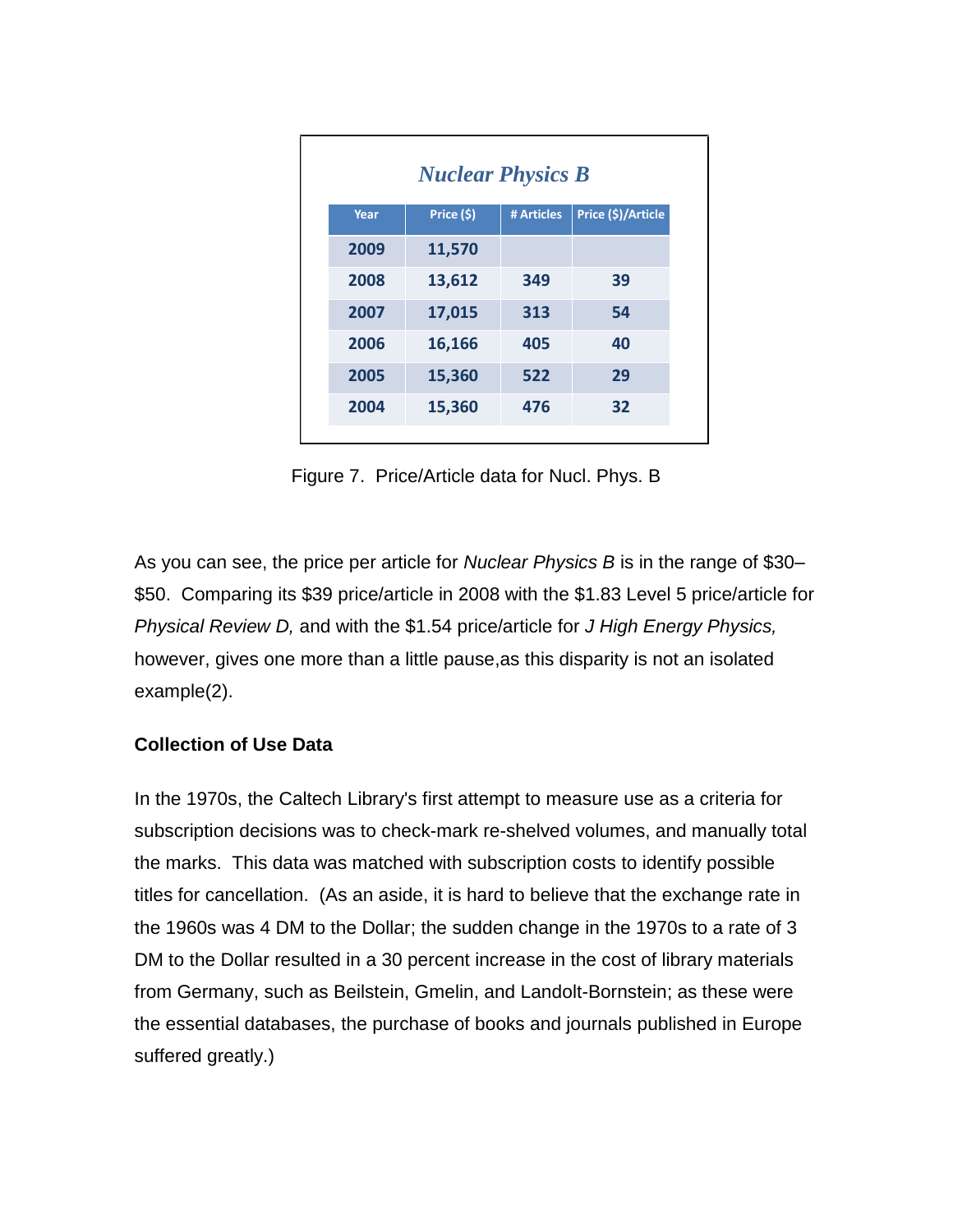| <b>Nuclear Physics B</b> |            |            |                    |  |  |
|--------------------------|------------|------------|--------------------|--|--|
| Year                     | Price (\$) | # Articles | Price (\$)/Article |  |  |
| 2009                     | 11,570     |            |                    |  |  |
| 2008                     | 13,612     | 349        | 39                 |  |  |
| 2007                     | 17,015     | 313        | 54                 |  |  |
| 2006                     | 16,166     | 405        | 40                 |  |  |
| 2005                     | 15,360     | 522        | 29                 |  |  |
| 2004                     | 15,360     | 476        | 32                 |  |  |

Figure 7. Price/Article data for Nucl. Phys. B

As you can see, the price per article for *Nuclear Physics B* is in the range of \$30– \$50. Comparing its \$39 price/article in 2008 with the \$1.83 Level 5 price/article for *Physical Review D,* and with the \$1.54 price/article for *J High Energy Physics,*  however, gives one more than a little pause,as this disparity is not an isolated example(2).

### **Collection of Use Data**

In the 1970s, the Caltech Library's first attempt to measure use as a criteria for subscription decisions was to check-mark re-shelved volumes, and manually total the marks. This data was matched with subscription costs to identify possible titles for cancellation. (As an aside, it is hard to believe that the exchange rate in the 1960s was 4 DM to the Dollar; the sudden change in the 1970s to a rate of 3 DM to the Dollar resulted in a 30 percent increase in the cost of library materials from Germany, such as Beilstein, Gmelin, and Landolt-Bornstein; as these were the essential databases, the purchase of books and journals published in Europe suffered greatly.)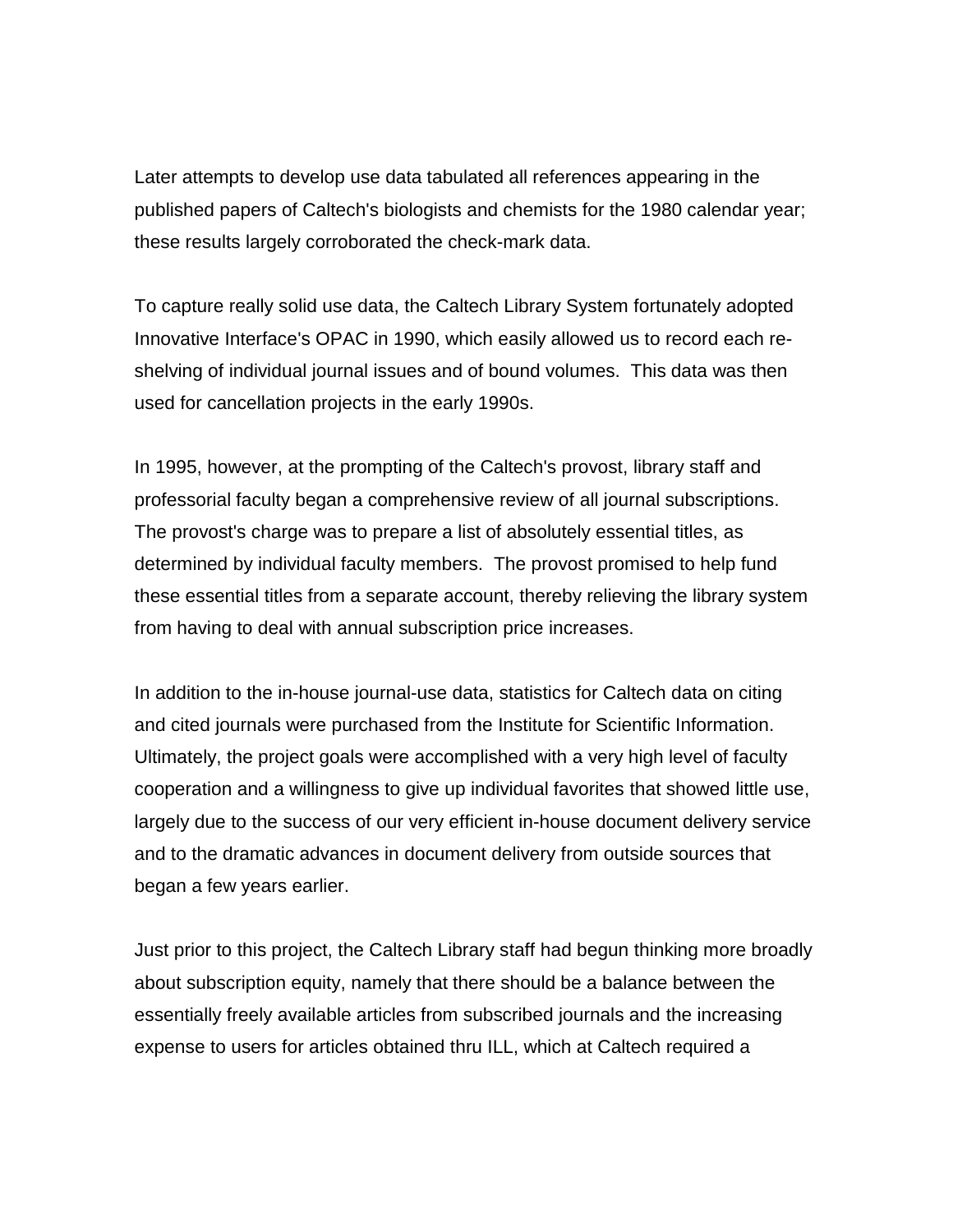Later attempts to develop use data tabulated all references appearing in the published papers of Caltech's biologists and chemists for the 1980 calendar year; these results largely corroborated the check-mark data.

To capture really solid use data, the Caltech Library System fortunately adopted Innovative Interface's OPAC in 1990, which easily allowed us to record each reshelving of individual journal issues and of bound volumes. This data was then used for cancellation projects in the early 1990s.

In 1995, however, at the prompting of the Caltech's provost, library staff and professorial faculty began a comprehensive review of all journal subscriptions. The provost's charge was to prepare a list of absolutely essential titles, as determined by individual faculty members. The provost promised to help fund these essential titles from a separate account, thereby relieving the library system from having to deal with annual subscription price increases.

In addition to the in-house journal-use data, statistics for Caltech data on citing and cited journals were purchased from the Institute for Scientific Information. Ultimately, the project goals were accomplished with a very high level of faculty cooperation and a willingness to give up individual favorites that showed little use, largely due to the success of our very efficient in-house document delivery service and to the dramatic advances in document delivery from outside sources that began a few years earlier.

Just prior to this project, the Caltech Library staff had begun thinking more broadly about subscription equity, namely that there should be a balance between the essentially freely available articles from subscribed journals and the increasing expense to users for articles obtained thru ILL, which at Caltech required a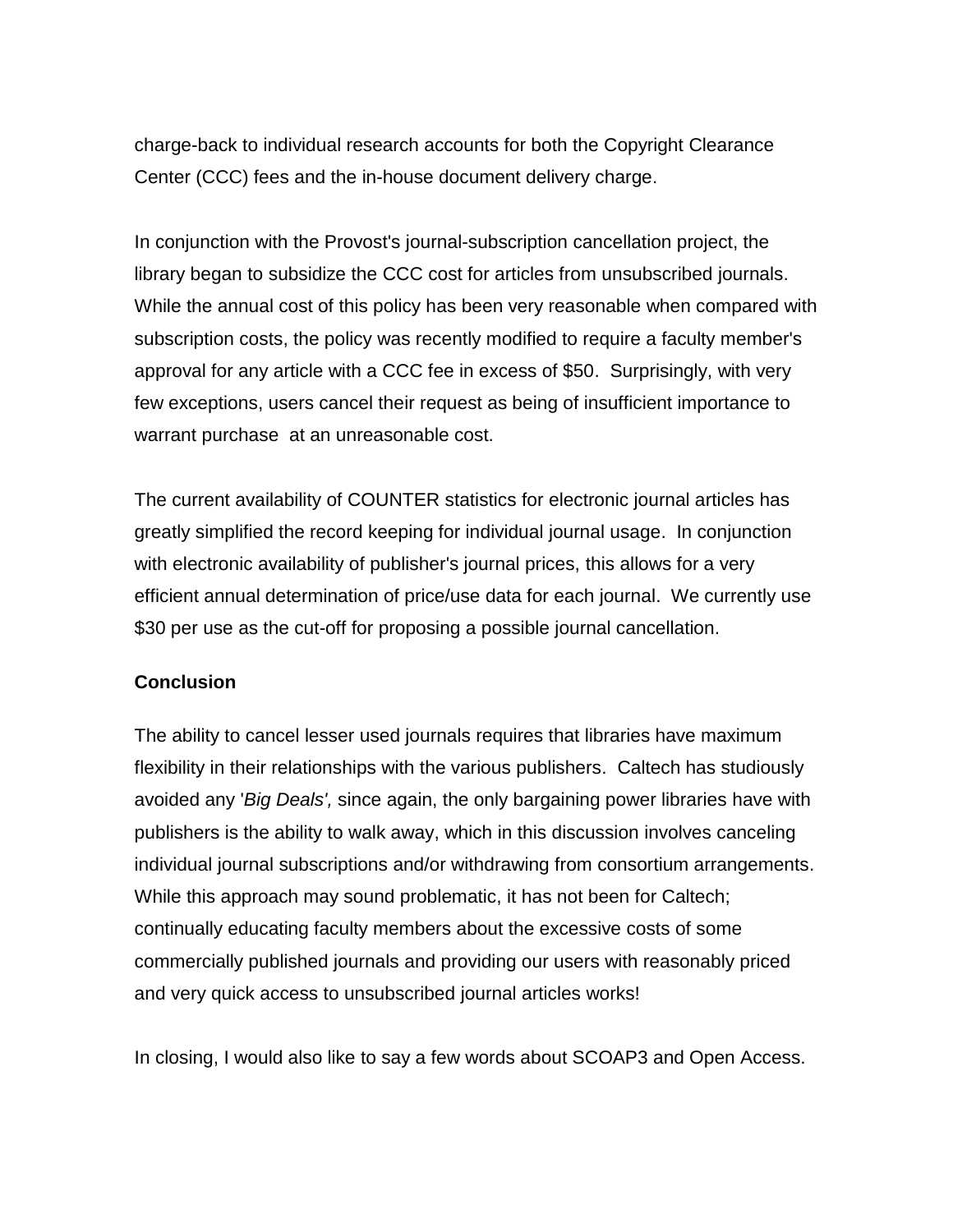charge-back to individual research accounts for both the Copyright Clearance Center (CCC) fees and the in-house document delivery charge.

In conjunction with the Provost's journal-subscription cancellation project, the library began to subsidize the CCC cost for articles from unsubscribed journals. While the annual cost of this policy has been very reasonable when compared with subscription costs, the policy was recently modified to require a faculty member's approval for any article with a CCC fee in excess of \$50. Surprisingly, with very few exceptions, users cancel their request as being of insufficient importance to warrant purchase at an unreasonable cost.

The current availability of COUNTER statistics for electronic journal articles has greatly simplified the record keeping for individual journal usage. In conjunction with electronic availability of publisher's journal prices, this allows for a very efficient annual determination of price/use data for each journal. We currently use \$30 per use as the cut-off for proposing a possible journal cancellation.

#### **Conclusion**

The ability to cancel lesser used journals requires that libraries have maximum flexibility in their relationships with the various publishers. Caltech has studiously avoided any '*Big Deals',* since again, the only bargaining power libraries have with publishers is the ability to walk away, which in this discussion involves canceling individual journal subscriptions and/or withdrawing from consortium arrangements. While this approach may sound problematic, it has not been for Caltech; continually educating faculty members about the excessive costs of some commercially published journals and providing our users with reasonably priced and very quick access to unsubscribed journal articles works!

In closing, I would also like to say a few words about SCOAP3 and Open Access.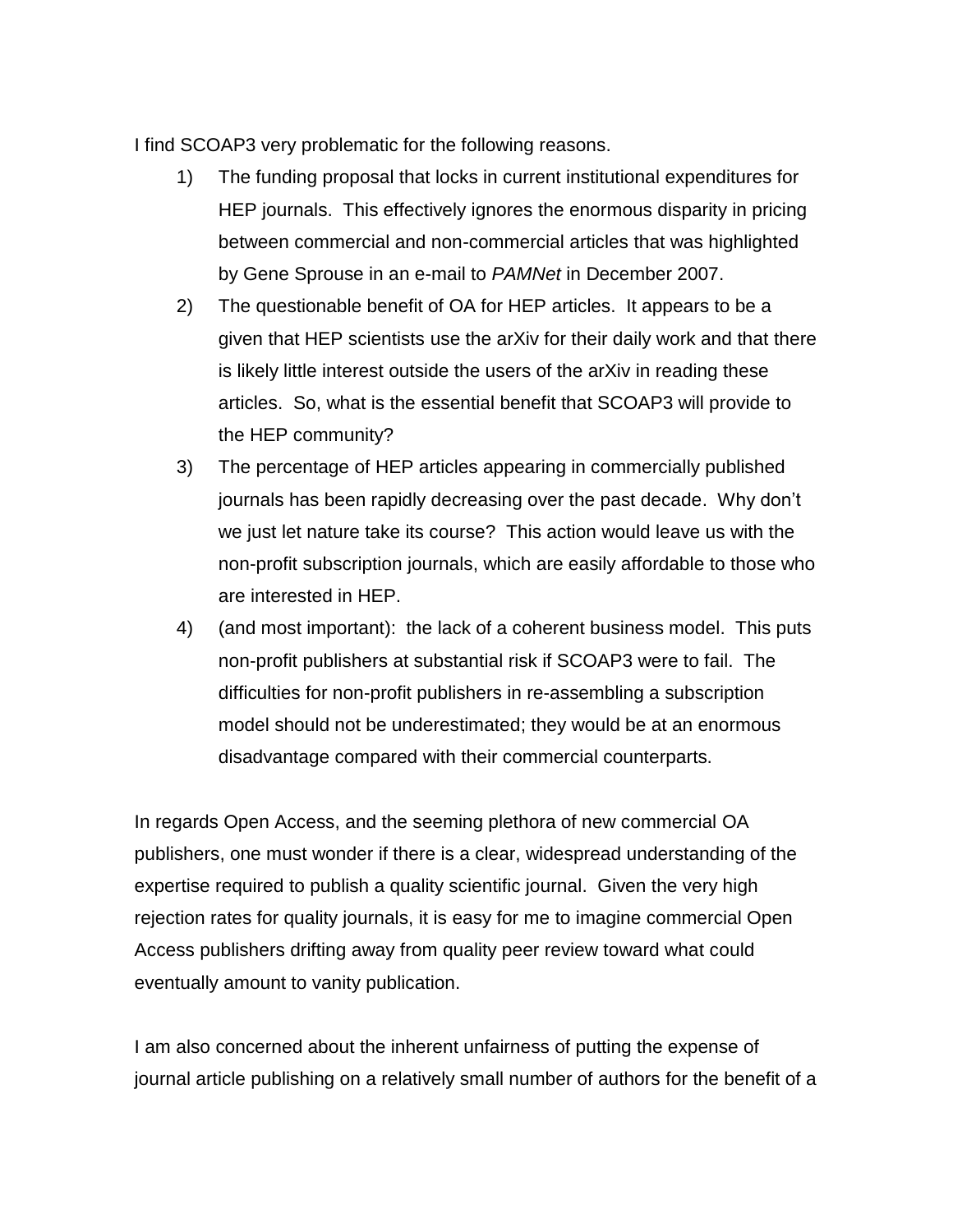I find SCOAP3 very problematic for the following reasons.

- 1) The funding proposal that locks in current institutional expenditures for HEP journals. This effectively ignores the enormous disparity in pricing between commercial and non-commercial articles that was highlighted by Gene Sprouse in an e-mail to *PAMNet* in December 2007.
- 2) The questionable benefit of OA for HEP articles. It appears to be a given that HEP scientists use the arXiv for their daily work and that there is likely little interest outside the users of the arXiv in reading these articles. So, what is the essential benefit that SCOAP3 will provide to the HEP community?
- 3) The percentage of HEP articles appearing in commercially published journals has been rapidly decreasing over the past decade. Why don't we just let nature take its course? This action would leave us with the non-profit subscription journals, which are easily affordable to those who are interested in HEP.
- 4) (and most important): the lack of a coherent business model. This puts non-profit publishers at substantial risk if SCOAP3 were to fail. The difficulties for non-profit publishers in re-assembling a subscription model should not be underestimated; they would be at an enormous disadvantage compared with their commercial counterparts.

In regards Open Access, and the seeming plethora of new commercial OA publishers, one must wonder if there is a clear, widespread understanding of the expertise required to publish a quality scientific journal. Given the very high rejection rates for quality journals, it is easy for me to imagine commercial Open Access publishers drifting away from quality peer review toward what could eventually amount to vanity publication.

I am also concerned about the inherent unfairness of putting the expense of journal article publishing on a relatively small number of authors for the benefit of a